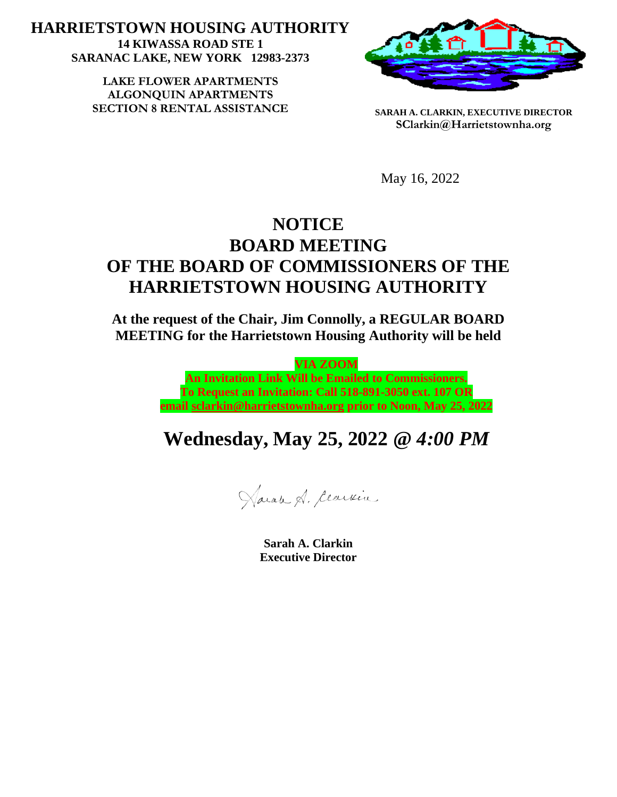**HARRIETSTOWN HOUSING AUTHORITY 14 KIWASSA ROAD STE 1 SARANAC LAKE, NEW YORK 12983-2373**

> LAKE FLOWER APARTMENTS **ALGONQUIN APARTMENTS SECTION 8 RENTAL ASSISTANCE SARAH A. CLARKIN, EXECUTIVE DIRECTOR**



**SClarkin@Harrietstownha.org**

May 16, 2022

## **NOTICE BOARD MEETING OF THE BOARD OF COMMISSIONERS OF THE HARRIETSTOWN HOUSING AUTHORITY**

**At the request of the Chair, Jim Connolly, a REGULAR BOARD MEETING for the Harrietstown Housing Authority will be held** 

> **VIA ZOOM An Invitation Link Will be Emailed to Commissioners. To Request an Invitation: Call 518-891-3050 ext. 107 OR email [sclarkin@harrietstownha.org](mailto:sclarkin@harrietstownha.org) prior to Noon, May 25, 2022**

## **Wednesday, May 25, 2022 @** *4:00 PM*

Haran A. Cearvin

**Sarah A. Clarkin Executive Director**